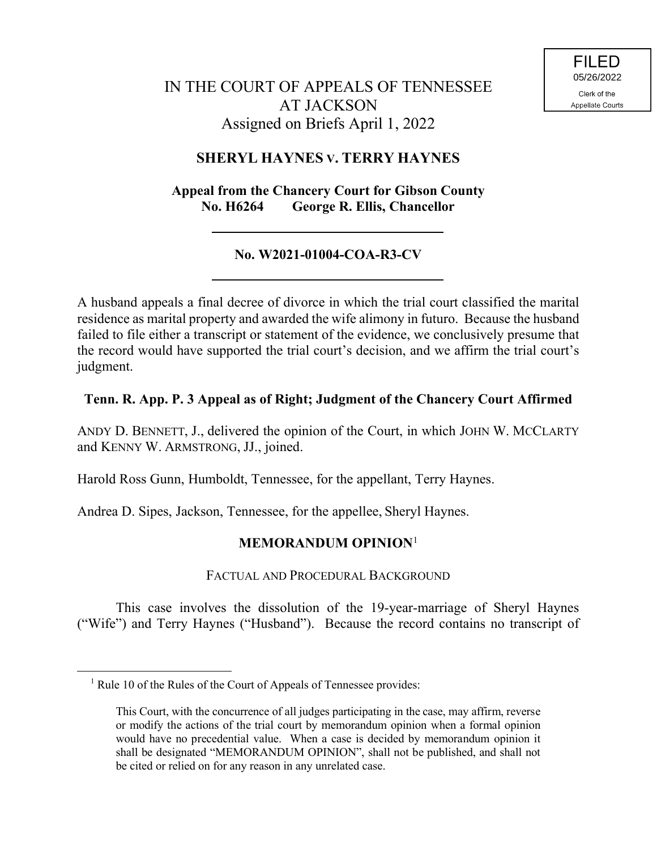# IN THE COURT OF APPEALS OF TENNESSEE AT JACKSON Assigned on Briefs April 1, 2022

## **SHERYL HAYNES V. TERRY HAYNES**

### **Appeal from the Chancery Court for Gibson County No. H6264 George R. Ellis, Chancellor**

# **No. W2021-01004-COA-R3-CV**

A husband appeals a final decree of divorce in which the trial court classified the marital residence as marital property and awarded the wife alimony in futuro. Because the husband failed to file either a transcript or statement of the evidence, we conclusively presume that the record would have supported the trial court's decision, and we affirm the trial court's judgment.

### **Tenn. R. App. P. 3 Appeal as of Right; Judgment of the Chancery Court Affirmed**

ANDY D. BENNETT, J., delivered the opinion of the Court, in which JOHN W. MCCLARTY and KENNY W. ARMSTRONG, JJ., joined.

Harold Ross Gunn, Humboldt, Tennessee, for the appellant, Terry Haynes.

Andrea D. Sipes, Jackson, Tennessee, for the appellee, Sheryl Haynes.

## **MEMORANDUM OPINION**<sup>1</sup>

### FACTUAL AND PROCEDURAL BACKGROUND

This case involves the dissolution of the 19-year-marriage of Sheryl Haynes ("Wife") and Terry Haynes ("Husband"). Because the record contains no transcript of

 $\overline{a}$ 

 $<sup>1</sup>$  Rule 10 of the Rules of the Court of Appeals of Tennessee provides:</sup>

This Court, with the concurrence of all judges participating in the case, may affirm, reverse or modify the actions of the trial court by memorandum opinion when a formal opinion would have no precedential value. When a case is decided by memorandum opinion it shall be designated "MEMORANDUM OPINION", shall not be published, and shall not be cited or relied on for any reason in any unrelated case.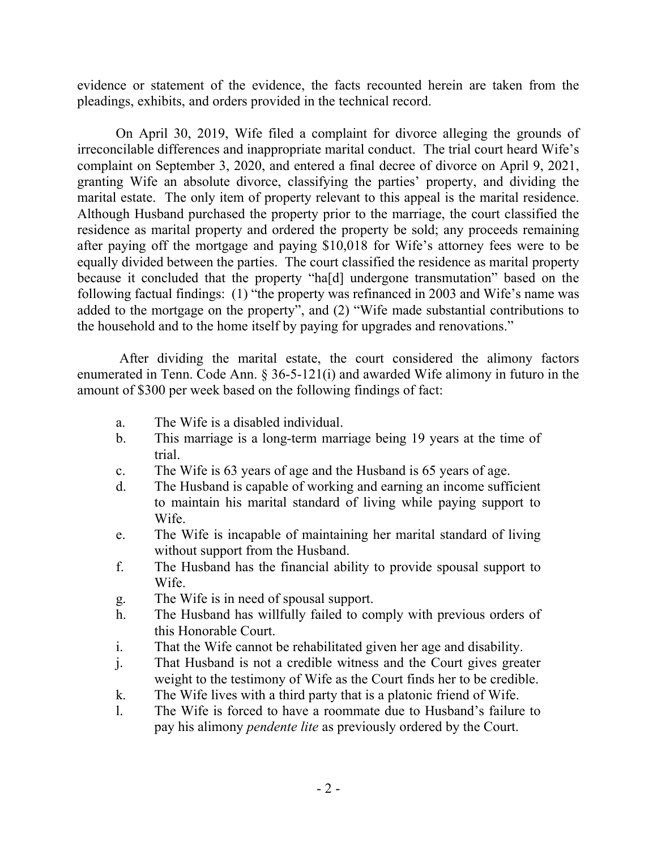evidence or statement of the evidence, the facts recounted herein are taken from the pleadings, exhibits, and orders provided in the technical record.

On April 30, 2019, Wife filed a complaint for divorce alleging the grounds of irreconcilable differences and inappropriate marital conduct. The trial court heard Wife's complaint on September 3, 2020, and entered a final decree of divorce on April 9, 2021, granting Wife an absolute divorce, classifying the parties' property, and dividing the marital estate. The only item of property relevant to this appeal is the marital residence. Although Husband purchased the property prior to the marriage, the court classified the residence as marital property and ordered the property be sold; any proceeds remaining after paying off the mortgage and paying \$10,018 for Wife's attorney fees were to be equally divided between the parties. The court classified the residence as marital property because it concluded that the property "ha[d] undergone transmutation" based on the following factual findings: (1) "the property was refinanced in 2003 and Wife's name was added to the mortgage on the property", and (2) "Wife made substantial contributions to the household and to the home itself by paying for upgrades and renovations."

After dividing the marital estate, the court considered the alimony factors enumerated in Tenn. Code Ann. § 36-5-121(i) and awarded Wife alimony in futuro in the amount of \$300 per week based on the following findings of fact:

- a. The Wife is a disabled individual.
- b. This marriage is a long-term marriage being 19 years at the time of trial.
- c. The Wife is 63 years of age and the Husband is 65 years of age.
- d. The Husband is capable of working and earning an income sufficient to maintain his marital standard of living while paying support to Wife.
- e. The Wife is incapable of maintaining her marital standard of living without support from the Husband.
- f. The Husband has the financial ability to provide spousal support to Wife.
- g. The Wife is in need of spousal support.
- h. The Husband has willfully failed to comply with previous orders of this Honorable Court.
- i. That the Wife cannot be rehabilitated given her age and disability.
- j. That Husband is not a credible witness and the Court gives greater weight to the testimony of Wife as the Court finds her to be credible.
- k. The Wife lives with a third party that is a platonic friend of Wife.
- l. The Wife is forced to have a roommate due to Husband's failure to pay his alimony *pendente lite* as previously ordered by the Court.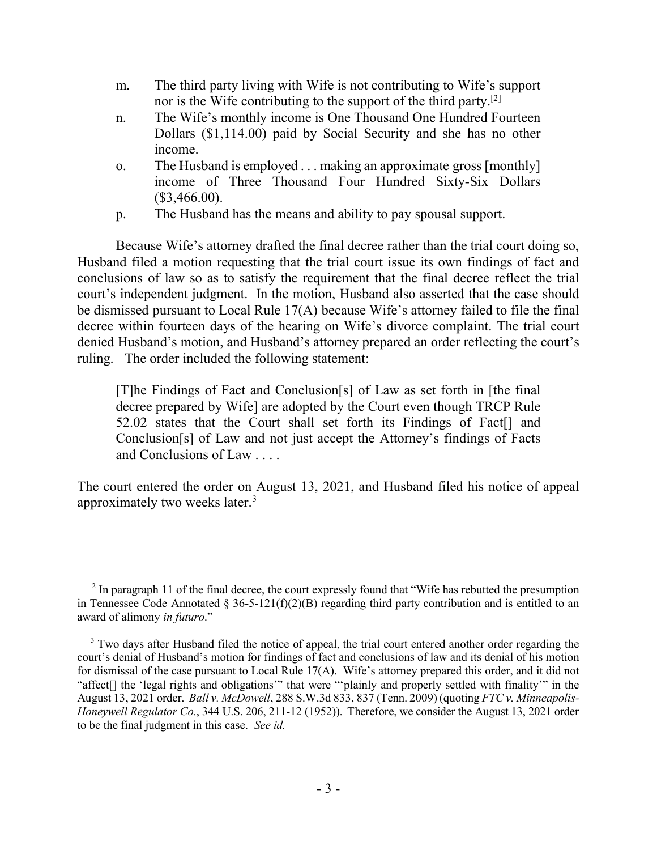- m. The third party living with Wife is not contributing to Wife's support nor is the Wife contributing to the support of the third party.<sup>[2]</sup>
- n. The Wife's monthly income is One Thousand One Hundred Fourteen Dollars (\$1,114.00) paid by Social Security and she has no other income.
- o. The Husband is employed . . . making an approximate gross [monthly] income of Three Thousand Four Hundred Sixty-Six Dollars  $($3,466.00).$
- p. The Husband has the means and ability to pay spousal support.

Because Wife's attorney drafted the final decree rather than the trial court doing so, Husband filed a motion requesting that the trial court issue its own findings of fact and conclusions of law so as to satisfy the requirement that the final decree reflect the trial court's independent judgment. In the motion, Husband also asserted that the case should be dismissed pursuant to Local Rule 17(A) because Wife's attorney failed to file the final decree within fourteen days of the hearing on Wife's divorce complaint. The trial court denied Husband's motion, and Husband's attorney prepared an order reflecting the court's ruling. The order included the following statement:

[T]he Findings of Fact and Conclusion[s] of Law as set forth in [the final decree prepared by Wife] are adopted by the Court even though TRCP Rule 52.02 states that the Court shall set forth its Findings of Fact[] and Conclusion[s] of Law and not just accept the Attorney's findings of Facts and Conclusions of Law . . . .

The court entered the order on August 13, 2021, and Husband filed his notice of appeal approximately two weeks later.<sup>3</sup>

 $2$  In paragraph 11 of the final decree, the court expressly found that "Wife has rebutted the presumption in Tennessee Code Annotated § 36-5-121(f)(2)(B) regarding third party contribution and is entitled to an award of alimony *in futuro*."

<sup>&</sup>lt;sup>3</sup> Two days after Husband filed the notice of appeal, the trial court entered another order regarding the court's denial of Husband's motion for findings of fact and conclusions of law and its denial of his motion for dismissal of the case pursuant to Local Rule 17(A). Wife's attorney prepared this order, and it did not "affect[] the 'legal rights and obligations'" that were "'plainly and properly settled with finality'" in the August 13, 2021 order. *Ball v. McDowell*, 288 S.W.3d 833, 837 (Tenn. 2009) (quoting *FTC v. Minneapolis-Honeywell Regulator Co.*, 344 U.S. 206, 211-12 (1952)). Therefore, we consider the August 13, 2021 order to be the final judgment in this case. *See id.*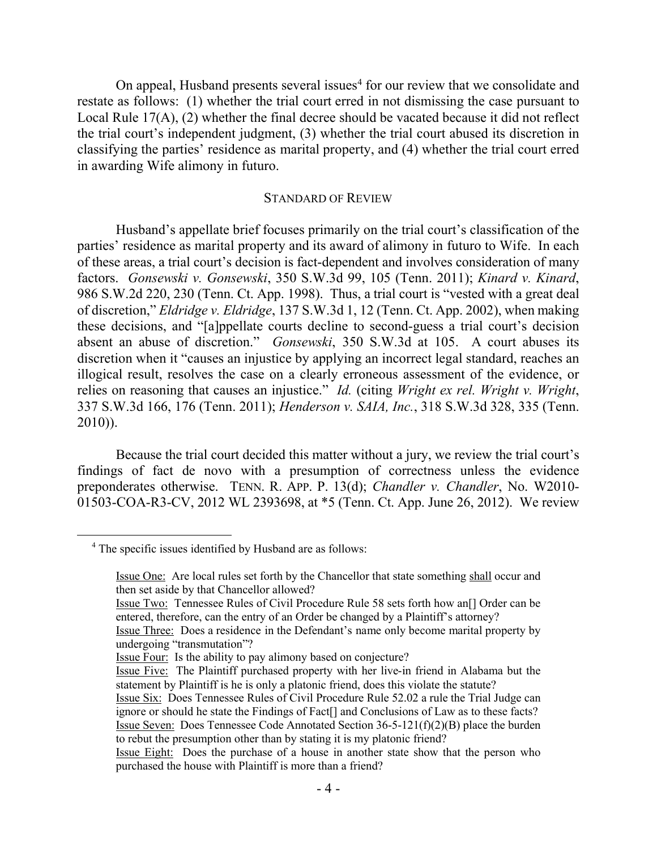On appeal, Husband presents several issues<sup>4</sup> for our review that we consolidate and restate as follows: (1) whether the trial court erred in not dismissing the case pursuant to Local Rule 17(A), (2) whether the final decree should be vacated because it did not reflect the trial court's independent judgment, (3) whether the trial court abused its discretion in classifying the parties' residence as marital property, and (4) whether the trial court erred in awarding Wife alimony in futuro.

#### STANDARD OF REVIEW

Husband's appellate brief focuses primarily on the trial court's classification of the parties' residence as marital property and its award of alimony in futuro to Wife. In each of these areas, a trial court's decision is fact-dependent and involves consideration of many factors. *Gonsewski v. Gonsewski*, 350 S.W.3d 99, 105 (Tenn. 2011); *Kinard v. Kinard*, 986 S.W.2d 220, 230 (Tenn. Ct. App. 1998). Thus, a trial court is "vested with a great deal of discretion," *Eldridge v. Eldridge*, 137 S.W.3d 1, 12 (Tenn. Ct. App. 2002), when making these decisions, and "[a]ppellate courts decline to second-guess a trial court's decision absent an abuse of discretion." *Gonsewski*, 350 S.W.3d at 105. A court abuses its discretion when it "causes an injustice by applying an incorrect legal standard, reaches an illogical result, resolves the case on a clearly erroneous assessment of the evidence, or relies on reasoning that causes an injustice." *Id.* (citing *Wright ex rel. Wright v. Wright*, 337 S.W.3d 166, 176 (Tenn. 2011); *Henderson v. SAIA, Inc.*, 318 S.W.3d 328, 335 (Tenn. 2010)).

Because the trial court decided this matter without a jury, we review the trial court's findings of fact de novo with a presumption of correctness unless the evidence preponderates otherwise. TENN. R. APP. P. 13(d); *Chandler v. Chandler*, No. W2010- 01503-COA-R3-CV, 2012 WL 2393698, at \*5 (Tenn. Ct. App. June 26, 2012). We review

 $\overline{a}$ 

<sup>&</sup>lt;sup>4</sup> The specific issues identified by Husband are as follows:

Issue One: Are local rules set forth by the Chancellor that state something shall occur and then set aside by that Chancellor allowed?

Issue Two: Tennessee Rules of Civil Procedure Rule 58 sets forth how an[] Order can be entered, therefore, can the entry of an Order be changed by a Plaintiff's attorney?

Issue Three: Does a residence in the Defendant's name only become marital property by undergoing "transmutation"?

Issue Four: Is the ability to pay alimony based on conjecture?

Issue Five: The Plaintiff purchased property with her live-in friend in Alabama but the statement by Plaintiff is he is only a platonic friend, does this violate the statute?

Issue Six: Does Tennessee Rules of Civil Procedure Rule 52.02 a rule the Trial Judge can ignore or should he state the Findings of Fact[] and Conclusions of Law as to these facts? Issue Seven: Does Tennessee Code Annotated Section 36-5-121(f)(2)(B) place the burden to rebut the presumption other than by stating it is my platonic friend?

Issue Eight: Does the purchase of a house in another state show that the person who purchased the house with Plaintiff is more than a friend?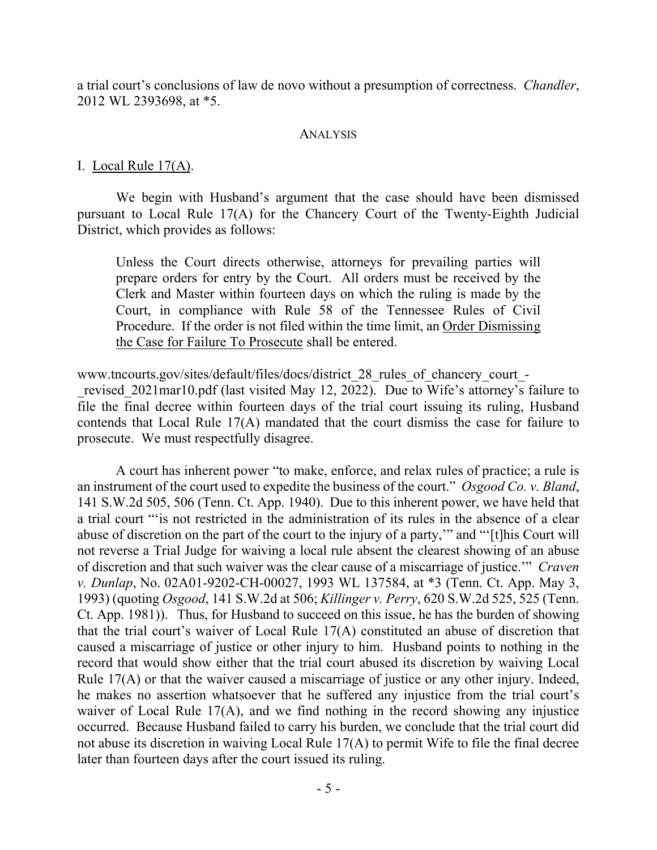a trial court's conclusions of law de novo without a presumption of correctness. *Chandler*, 2012 WL 2393698, at \*5.

#### ANALYSIS

#### I. Local Rule 17(A).

We begin with Husband's argument that the case should have been dismissed pursuant to Local Rule 17(A) for the Chancery Court of the Twenty-Eighth Judicial District, which provides as follows:

Unless the Court directs otherwise, attorneys for prevailing parties will prepare orders for entry by the Court. All orders must be received by the Clerk and Master within fourteen days on which the ruling is made by the Court, in compliance with Rule 58 of the Tennessee Rules of Civil Procedure. If the order is not filed within the time limit, an Order Dismissing the Case for Failure To Prosecute shall be entered.

www.tncourts.gov/sites/default/files/docs/district\_28\_rules\_of\_chancery\_court\_ revised 2021mar10.pdf (last visited May 12, 2022). Due to Wife's attorney's failure to file the final decree within fourteen days of the trial court issuing its ruling, Husband contends that Local Rule 17(A) mandated that the court dismiss the case for failure to prosecute. We must respectfully disagree.

A court has inherent power "to make, enforce, and relax rules of practice; a rule is an instrument of the court used to expedite the business of the court." *Osgood Co. v. Bland*, 141 S.W.2d 505, 506 (Tenn. Ct. App. 1940). Due to this inherent power, we have held that a trial court "'is not restricted in the administration of its rules in the absence of a clear abuse of discretion on the part of the court to the injury of a party,'" and "'[t]his Court will not reverse a Trial Judge for waiving a local rule absent the clearest showing of an abuse of discretion and that such waiver was the clear cause of a miscarriage of justice.'" *Craven v. Dunlap*, No. 02A01-9202-CH-00027, 1993 WL 137584, at \*3 (Tenn. Ct. App. May 3, 1993) (quoting *Osgood*, 141 S.W.2d at 506; *Killinger v. Perry*, 620 S.W.2d 525, 525 (Tenn. Ct. App. 1981)). Thus, for Husband to succeed on this issue, he has the burden of showing that the trial court's waiver of Local Rule 17(A) constituted an abuse of discretion that caused a miscarriage of justice or other injury to him. Husband points to nothing in the record that would show either that the trial court abused its discretion by waiving Local Rule 17(A) or that the waiver caused a miscarriage of justice or any other injury. Indeed, he makes no assertion whatsoever that he suffered any injustice from the trial court's waiver of Local Rule 17(A), and we find nothing in the record showing any injustice occurred. Because Husband failed to carry his burden, we conclude that the trial court did not abuse its discretion in waiving Local Rule 17(A) to permit Wife to file the final decree later than fourteen days after the court issued its ruling.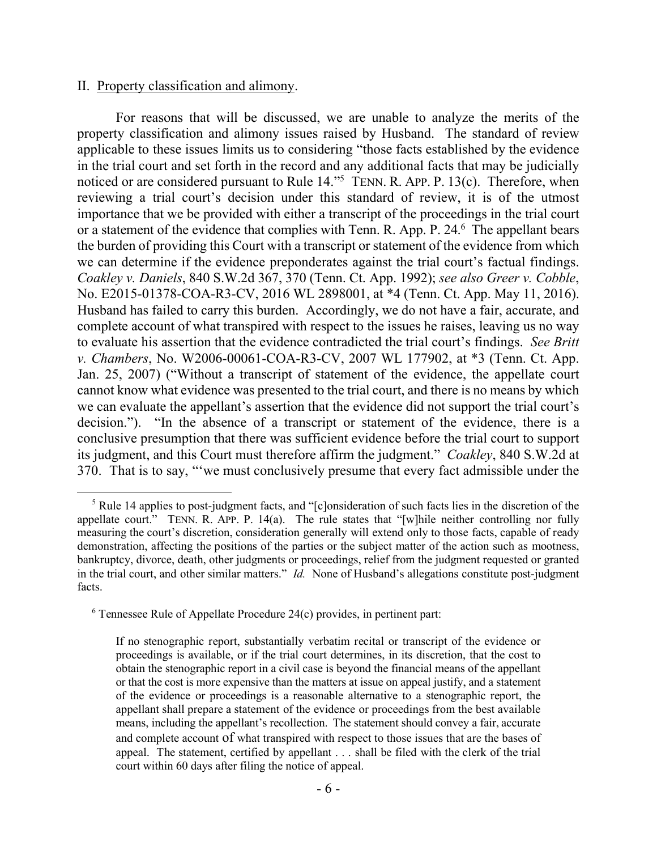#### II. Property classification and alimony.

 $\overline{a}$ 

For reasons that will be discussed, we are unable to analyze the merits of the property classification and alimony issues raised by Husband. The standard of review applicable to these issues limits us to considering "those facts established by the evidence in the trial court and set forth in the record and any additional facts that may be judicially noticed or are considered pursuant to Rule 14."<sup>5</sup> TENN. R. APP. P. 13(c). Therefore, when reviewing a trial court's decision under this standard of review, it is of the utmost importance that we be provided with either a transcript of the proceedings in the trial court or a statement of the evidence that complies with Tenn. R. App. P. 24.<sup>6</sup> The appellant bears the burden of providing this Court with a transcript or statement of the evidence from which we can determine if the evidence preponderates against the trial court's factual findings. *Coakley v. Daniels*, 840 S.W.2d 367, 370 (Tenn. Ct. App. 1992); *see also Greer v. Cobble*, No. E2015-01378-COA-R3-CV, 2016 WL 2898001, at \*4 (Tenn. Ct. App. May 11, 2016). Husband has failed to carry this burden. Accordingly, we do not have a fair, accurate, and complete account of what transpired with respect to the issues he raises, leaving us no way to evaluate his assertion that the evidence contradicted the trial court's findings. *See Britt v. Chambers*, No. W2006-00061-COA-R3-CV, 2007 WL 177902, at \*3 (Tenn. Ct. App. Jan. 25, 2007) ("Without a transcript of statement of the evidence, the appellate court cannot know what evidence was presented to the trial court, and there is no means by which we can evaluate the appellant's assertion that the evidence did not support the trial court's decision."). "In the absence of a transcript or statement of the evidence, there is a conclusive presumption that there was sufficient evidence before the trial court to support its judgment, and this Court must therefore affirm the judgment." *Coakley*, 840 S.W.2d at 370. That is to say, "'we must conclusively presume that every fact admissible under the

<sup>5</sup> Rule 14 applies to post-judgment facts, and "[c]onsideration of such facts lies in the discretion of the appellate court." TENN. R. APP. P. 14(a). The rule states that "[w]hile neither controlling nor fully measuring the court's discretion, consideration generally will extend only to those facts, capable of ready demonstration, affecting the positions of the parties or the subject matter of the action such as mootness, bankruptcy, divorce, death, other judgments or proceedings, relief from the judgment requested or granted in the trial court, and other similar matters." *Id.* None of Husband's allegations constitute post-judgment facts.

 $6$  Tennessee Rule of Appellate Procedure 24(c) provides, in pertinent part:

If no stenographic report, substantially verbatim recital or transcript of the evidence or proceedings is available, or if the trial court determines, in its discretion, that the cost to obtain the stenographic report in a civil case is beyond the financial means of the appellant or that the cost is more expensive than the matters at issue on appeal justify, and a statement of the evidence or proceedings is a reasonable alternative to a stenographic report, the appellant shall prepare a statement of the evidence or proceedings from the best available means, including the appellant's recollection. The statement should convey a fair, accurate and complete account of what transpired with respect to those issues that are the bases of appeal. The statement, certified by appellant . . . shall be filed with the clerk of the trial court within 60 days after filing the notice of appeal.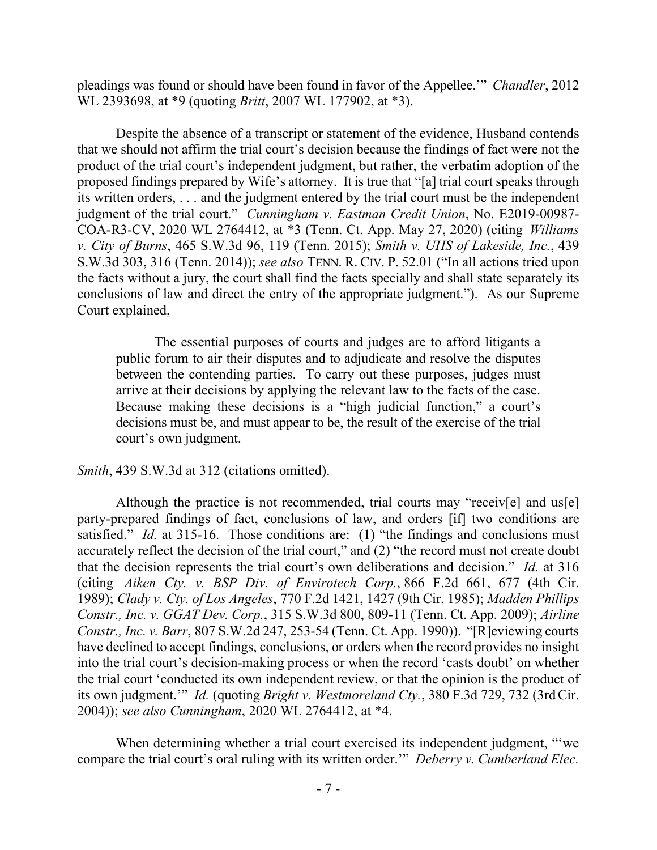pleadings was found or should have been found in favor of the Appellee.'" *Chandler*, 2012 WL 2393698, at \*9 (quoting *Britt*, 2007 WL 177902, at \*3).

Despite the absence of a transcript or statement of the evidence, Husband contends that we should not affirm the trial court's decision because the findings of fact were not the product of the trial court's independent judgment, but rather, the verbatim adoption of the proposed findings prepared by Wife's attorney. It is true that "[a] trial court speaks through its written orders, . . . and the judgment entered by the trial court must be the independent judgment of the trial court." *Cunningham v. Eastman Credit Union*, No. E2019-00987- COA-R3-CV, 2020 WL 2764412, at \*3 (Tenn. Ct. App. May 27, 2020) (citing *Williams v. City of Burns*, 465 S.W.3d 96, 119 (Tenn. 2015); *Smith v. UHS of Lakeside, Inc.*, 439 S.W.3d 303, 316 (Tenn. 2014)); *see also* TENN. R. CIV. P. 52.01 ("In all actions tried upon the facts without a jury, the court shall find the facts specially and shall state separately its conclusions of law and direct the entry of the appropriate judgment."). As our Supreme Court explained,

The essential purposes of courts and judges are to afford litigants a public forum to air their disputes and to adjudicate and resolve the disputes between the contending parties. To carry out these purposes, judges must arrive at their decisions by applying the relevant law to the facts of the case. Because making these decisions is a "high judicial function," a court's decisions must be, and must appear to be, the result of the exercise of the trial court's own judgment.

*Smith*, 439 S.W.3d at 312 (citations omitted).

Although the practice is not recommended, trial courts may "receiv[e] and us[e] party-prepared findings of fact, conclusions of law, and orders [if] two conditions are satisfied." *Id.* at 315-16. Those conditions are: (1) "the findings and conclusions must accurately reflect the decision of the trial court," and (2) "the record must not create doubt that the decision represents the trial court's own deliberations and decision." *Id.* at 316 (citing *Aiken Cty. v. BSP Div. of Envirotech Corp.*, 866 F.2d 661, 677 (4th Cir. 1989); *Clady v. Cty. of Los Angeles*, 770 F.2d 1421, 1427 (9th Cir. 1985); *Madden Phillips Constr., Inc. v. GGAT Dev. Corp.*, 315 S.W.3d 800, 809-11 (Tenn. Ct. App. 2009); *Airline Constr., Inc. v. Barr*, 807 S.W.2d 247, 253-54 (Tenn. Ct. App. 1990)). "[R]eviewing courts have declined to accept findings, conclusions, or orders when the record provides no insight into the trial court's decision-making process or when the record 'casts doubt' on whether the trial court 'conducted its own independent review, or that the opinion is the product of its own judgment.'" *Id.* (quoting *Bright v. Westmoreland Cty.*, 380 F.3d 729, 732 (3rdCir. 2004)); *see also Cunningham*, 2020 WL 2764412, at \*4.

When determining whether a trial court exercised its independent judgment, "we compare the trial court's oral ruling with its written order.'" *Deberry v. Cumberland Elec.*